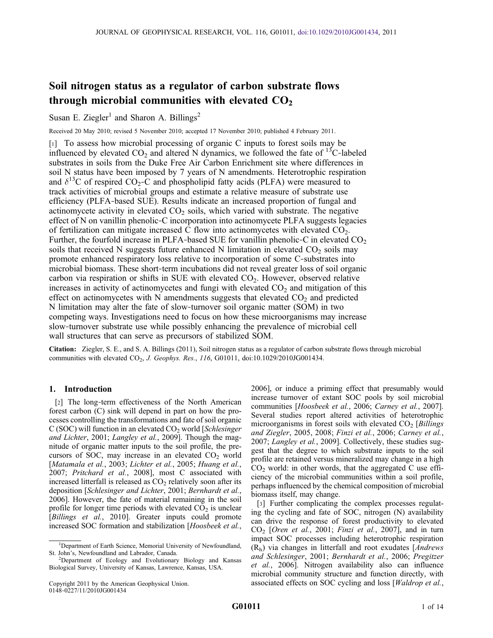# Soil nitrogen status as a regulator of carbon substrate flows through microbial communities with elevated  $CO<sub>2</sub>$

Susan E. Ziegler<sup>1</sup> and Sharon A. Billings<sup>2</sup>

Received 20 May 2010; revised 5 November 2010; accepted 17 November 2010; published 4 February 2011.

[1] To assess how microbial processing of organic C inputs to forest soils may be influenced by elevated  $CO_2$  and altered N dynamics, we followed the fate of <sup>13</sup>C-labeled substrates in soils from the Duke Free Air Carbon Enrichment site where differences in soil N status have been imposed by 7 years of N amendments. Heterotrophic respiration and  $\delta^{13}$ C of respired CO<sub>2</sub>-C and phospholipid fatty acids (PLFA) were measured to track activities of microbial groups and estimate a relative measure of substrate use efficiency (PLFA‐based SUE). Results indicate an increased proportion of fungal and actinomycete activity in elevated  $CO<sub>2</sub>$  soils, which varied with substrate. The negative effect of N on vanillin phenolic‐C incorporation into actinomycete PLFA suggests legacies of fertilization can mitigate increased C flow into actinomycetes with elevated  $CO<sub>2</sub>$ . Further, the fourfold increase in PLFA-based SUE for vanillin phenolic-C in elevated  $CO<sub>2</sub>$ soils that received N suggests future enhanced N limitation in elevated  $CO<sub>2</sub>$  soils may promote enhanced respiratory loss relative to incorporation of some C‐substrates into microbial biomass. These short‐term incubations did not reveal greater loss of soil organic carbon via respiration or shifts in SUE with elevated  $CO<sub>2</sub>$ . However, observed relative increases in activity of actinomycetes and fungi with elevated  $CO<sub>2</sub>$  and mitigation of this effect on actinomycetes with N amendments suggests that elevated  $CO<sub>2</sub>$  and predicted N limitation may alter the fate of slow‐turnover soil organic matter (SOM) in two competing ways. Investigations need to focus on how these microorganisms may increase slow-turnover substrate use while possibly enhancing the prevalence of microbial cell wall structures that can serve as precursors of stabilized SOM.

Citation: Ziegler, S. E., and S. A. Billings (2011), Soil nitrogen status as a regulator of carbon substrate flows through microbial communities with elevated CO<sub>2</sub>, *J. Geophys. Res.*, 116, G01011, doi:10.1029/2010JG001434.

# 1. Introduction

[2] The long-term effectiveness of the North American forest carbon (C) sink will depend in part on how the processes controlling the transformations and fate of soil organic  $C$  (SOC) will function in an elevated  $CO<sub>2</sub>$  world [*Schlesinger* and Lichter, 2001; Langley et al., 2009]. Though the magnitude of organic matter inputs to the soil profile, the precursors of SOC, may increase in an elevated  $CO<sub>2</sub>$  world [Matamala et al., 2003; Lichter et al., 2005; Huang et al., 2007; Pritchard et al., 2008], most C associated with increased litterfall is released as  $CO<sub>2</sub>$  relatively soon after its deposition [Schlesinger and Lichter, 2001; Bernhardt et al., 2006]. However, the fate of material remaining in the soil profile for longer time periods with elevated  $CO<sub>2</sub>$  is unclear [Billings et al., 2010]. Greater inputs could promote increased SOC formation and stabilization [Hoosbeek et al.,

Copyright 2011 by the American Geophysical Union. 0148‐0227/11/2010JG001434

2006], or induce a priming effect that presumably would increase turnover of extant SOC pools by soil microbial communities [Hoosbeek et al., 2006; Carney et al., 2007]. Several studies report altered activities of heterotrophic microorganisms in forest soils with elevated  $CO<sub>2</sub>$  [Billings] and Ziegler, 2005, 2008; Finzi et al., 2006; Carney et al., 2007; Langley et al., 2009]. Collectively, these studies suggest that the degree to which substrate inputs to the soil profile are retained versus mineralized may change in a high  $CO<sub>2</sub>$  world: in other words, that the aggregated C use efficiency of the microbial communities within a soil profile, perhaps influenced by the chemical composition of microbial biomass itself, may change.

[3] Further complicating the complex processes regulating the cycling and fate of SOC, nitrogen (N) availability can drive the response of forest productivity to elevated  $CO<sub>2</sub>$  [Oren et al., 2001; Finzi et al., 2007], and in turn impact SOC processes including heterotrophic respiration  $(R_h)$  via changes in litterfall and root exudates [*Andrews* and Schlesinger, 2001; Bernhardt et al., 2006; Pregitzer et al., 2006]. Nitrogen availability also can influence microbial community structure and function directly, with associated effects on SOC cycling and loss [Waldrop et al.,

<sup>&</sup>lt;sup>1</sup>Department of Earth Science, Memorial University of Newfoundland, St. John's, Newfoundland and Labrador, Canada. <sup>2</sup>

<sup>&</sup>lt;sup>2</sup>Department of Ecology and Evolutionary Biology and Kansas Biological Survey, University of Kansas, Lawrence, Kansas, USA.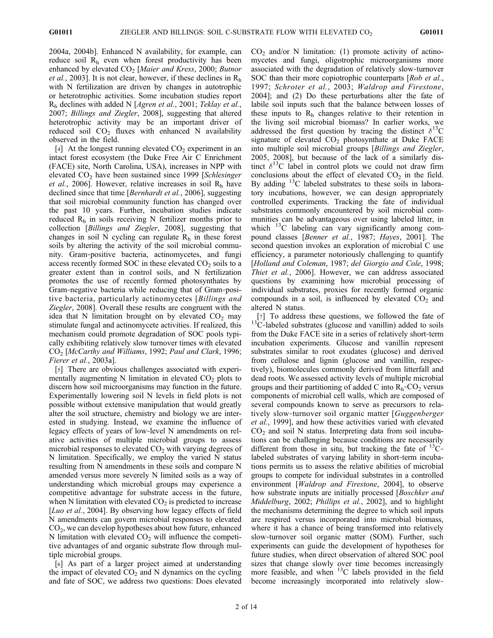2004a, 2004b]. Enhanced N availability, for example, can reduce soil  $R<sub>h</sub>$  even when forest productivity has been enhanced by elevated  $CO<sub>2</sub>$  [Maier and Kress, 2000; Butnor *et al.*, 2003]. It is not clear, however, if these declines in  $R_h$ with N fertilization are driven by changes in autotrophic or heterotrophic activities. Some incubation studies report  $R_h$  declines with added N [Agren et al., 2001; Teklay et al., 2007; Billings and Ziegler, 2008], suggesting that altered heterotrophic activity may be an important driver of reduced soil  $CO<sub>2</sub>$  fluxes with enhanced N availability observed in the field.

[4] At the longest running elevated  $CO<sub>2</sub>$  experiment in an intact forest ecosystem (the Duke Free Air C Enrichment (FACE) site, North Carolina, USA), increases in NPP with elevated  $CO<sub>2</sub>$  have been sustained since 1999 [Schlesinger] *et al.*, 2006]. However, relative increases in soil  $R<sub>h</sub>$  have declined since that time [*Bernhardt et al.*, 2006], suggesting that soil microbial community function has changed over the past 10 years. Further, incubation studies indicate reduced  $R<sub>h</sub>$  in soils receiving N fertilizer months prior to collection [Billings and Ziegler, 2008], suggesting that changes in soil N cycling can regulate  $R<sub>h</sub>$  in these forest soils by altering the activity of the soil microbial community. Gram‐positive bacteria, actinomycetes, and fungi access recently formed SOC in these elevated  $CO<sub>2</sub>$  soils to a greater extent than in control soils, and N fertilization promotes the use of recently formed photosynthates by Gram‐negative bacteria while reducing that of Gram‐positive bacteria, particularly actinomycetes [Billings and Ziegler, 2008]. Overall these results are congruent with the idea that N limitation brought on by elevated  $CO<sub>2</sub>$  may stimulate fungal and actinomycete activities. If realized, this mechanism could promote degradation of SOC pools typically exhibiting relatively slow turnover times with elevated CO2 [McCarthy and Williams, 1992; Paul and Clark, 1996; Fierer et al., 2003a].

[5] There are obvious challenges associated with experimentally augmenting N limitation in elevated  $CO<sub>2</sub>$  plots to discern how soil microorganisms may function in the future. Experimentally lowering soil N levels in field plots is not possible without extensive manipulation that would greatly alter the soil structure, chemistry and biology we are interested in studying. Instead, we examine the influence of legacy effects of years of low‐level N amendments on relative activities of multiple microbial groups to assess microbial responses to elevated  $CO<sub>2</sub>$  with varying degrees of N limitation. Specifically, we employ the varied N status resulting from N amendments in these soils and compare N amended versus more severely N limited soils as a way of understanding which microbial groups may experience a competitive advantage for substrate access in the future, when N limitation with elevated  $CO<sub>2</sub>$  is predicted to increase [Luo et al., 2004]. By observing how legacy effects of field N amendments can govern microbial responses to elevated  $CO<sub>2</sub>$ , we can develop hypotheses about how future, enhanced N limitation with elevated  $CO<sub>2</sub>$  will influence the competitive advantages of and organic substrate flow through multiple microbial groups.

[6] As part of a larger project aimed at understanding the impact of elevated  $CO<sub>2</sub>$  and N dynamics on the cycling and fate of SOC, we address two questions: Does elevated  $CO<sub>2</sub>$  and/or N limitation: (1) promote activity of actinomycetes and fungi, oligotrophic microorganisms more associated with the degradation of relatively slow‐turnover SOC than their more copiotrophic counterparts [Rob et al., 1997; Schroter et al., 2003; Waldrop and Firestone, 2004]; and (2) Do these perturbations alter the fate of labile soil inputs such that the balance between losses of these inputs to  $R<sub>h</sub>$  changes relative to their retention in the living soil microbial biomass? In earlier works, we addressed the first question by tracing the distinct  $\delta^{13}C$ signature of elevated  $CO<sub>2</sub>$  photosynthate at Duke FACE into multiple soil microbial groups [Billings and Ziegler, 2005, 2008], but because of the lack of a similarly distinct  $\delta^{13}$ C label in control plots we could not draw firm conclusions about the effect of elevated  $CO<sub>2</sub>$  in the field. By adding 13C labeled substrates to these soils in laboratory incubations, however, we can design appropriately controlled experiments. Tracking the fate of individual substrates commonly encountered by soil microbial communities can be advantageous over using labeled litter, in which  $^{13}$ C labeling can vary significantly among compound classes [Benner et al., 1987; Hayes, 2001]. The second question invokes an exploration of microbial C use efficiency, a parameter notoriously challenging to quantify [Holland and Coleman, 1987; del Giorgio and Cole, 1998; Thiet et al., 2006]. However, we can address associated questions by examining how microbial processing of individual substrates, proxies for recently formed organic compounds in a soil, is influenced by elevated  $CO<sub>2</sub>$  and altered N status.

[7] To address these questions, we followed the fate of  $13C$ -labeled substrates (glucose and vanillin) added to soils from the Duke FACE site in a series of relatively short‐term incubation experiments. Glucose and vanillin represent substrates similar to root exudates (glucose) and derived from cellulose and lignin (glucose and vanillin, respectively), biomolecules commonly derived from litterfall and dead roots. We assessed activity levels of multiple microbial groups and their partitioning of added C into  $R_h$ -CO<sub>2</sub> versus components of microbial cell walls, which are composed of several compounds known to serve as precursors to relatively slow-turnover soil organic matter [*Guggenberger* et al., 1999], and how these activities varied with elevated  $CO<sub>2</sub>$  and soil N status. Interpreting data from soil incubations can be challenging because conditions are necessarily different from those in situ, but tracking the fate of  $^{13}$ C– labeled substrates of varying lability in short‐term incubations permits us to assess the relative abilities of microbial groups to compete for individual substrates in a controlled environment [Waldrop and Firestone, 2004], to observe how substrate inputs are initially processed [*Boschker and*] Middelburg, 2002; Phillips et al., 2002], and to highlight the mechanisms determining the degree to which soil inputs are respired versus incorporated into microbial biomass, where it has a chance of being transformed into relatively slow-turnover soil organic matter (SOM). Further, such experiments can guide the development of hypotheses for future studies, when direct observation of altered SOC pool sizes that change slowly over time becomes increasingly more feasible, and when <sup>13</sup>C labels provided in the field become increasingly incorporated into relatively slow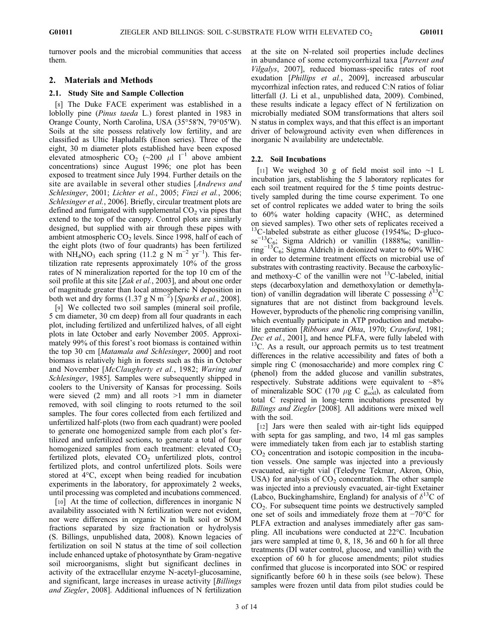turnover pools and the microbial communities that access them.

# 2. Materials and Methods

## 2.1. Study Site and Sample Collection

[8] The Duke FACE experiment was established in a loblolly pine (Pinus taeda L.) forest planted in 1983 in Orange County, North Carolina, USA (35°58′N, 79°05′W). Soils at the site possess relatively low fertility, and are classified as Ultic Hapludalfs (Enon series). Three of the eight, 30 m diameter plots established have been exposed elevated atmospheric  $CO_2$  (~200 µl l<sup>−1</sup> above ambient concentrations) since August 1996; one plot has been exposed to treatment since July 1994. Further details on the site are available in several other studies [Andrews and Schlesinger, 2001; Lichter et al., 2005; Finzi et al., 2006; Schlesinger et al., 2006]. Briefly, circular treatment plots are defined and fumigated with supplemental  $CO<sub>2</sub>$  via pipes that extend to the top of the canopy. Control plots are similarly designed, but supplied with air through these pipes with ambient atmospheric  $CO<sub>2</sub>$  levels. Since 1998, half of each of the eight plots (two of four quadrants) has been fertilized with  $NH<sub>4</sub>NO<sub>3</sub>$  each spring (11.2 g N m<sup>-2</sup> yr<sup>-1</sup>). This fertilization rate represents approximately 10% of the gross rates of N mineralization reported for the top 10 cm of the soil profile at this site [Zak et al., 2003], and about one order of magnitude greater than local atmospheric N deposition in both wet and dry forms (1.37 g N m<sup>-2</sup>) [Sparks et al., 2008].

[9] We collected two soil samples (mineral soil profile, 5 cm diameter, 30 cm deep) from all four quadrants in each plot, including fertilized and unfertilized halves, of all eight plots in late October and early November 2005. Approximately 99% of this forest's root biomass is contained within the top 30 cm [Matamala and Schlesinger, 2000] and root biomass is relatively high in forests such as this in October and November [McClaugherty et al., 1982; Waring and Schlesinger, 1985]. Samples were subsequently shipped in coolers to the University of Kansas for processing. Soils were sieved  $(2 \text{ mm})$  and all roots  $>1$  mm in diameter removed, with soil clinging to roots returned to the soil samples. The four cores collected from each fertilized and unfertilized half‐plots (two from each quadrant) were pooled to generate one homogenized sample from each plot's fertilized and unfertilized sections, to generate a total of four homogenized samples from each treatment: elevated  $CO<sub>2</sub>$ fertilized plots, elevated  $CO<sub>2</sub>$  unfertilized plots, control fertilized plots, and control unfertilized plots. Soils were stored at 4°C, except when being readied for incubation experiments in the laboratory, for approximately 2 weeks, until processing was completed and incubations commenced.

[10] At the time of collection, differences in inorganic N availability associated with N fertilization were not evident, nor were differences in organic N in bulk soil or SOM fractions separated by size fractionation or hydrolysis (S. Billings, unpublished data, 2008). Known legacies of fertilization on soil N status at the time of soil collection include enhanced uptake of photosynthate by Gram‐negative soil microorganisms, slight but significant declines in activity of the extracellular enzyme N‐acetyl‐glucosamine, and significant, large increases in urease activity [Billings] and Ziegler, 2008]. Additional influences of N fertilization

at the site on N‐related soil properties include declines in abundance of some ectomycorrhizal taxa [*Parrent and* Vilgalys, 2007], reduced biomass‐specific rates of root exudation [Phillips et al., 2009], increased arbuscular mycorrhizal infection rates, and reduced C:N ratios of foliar litterfall (J. Li et al., unpublished data, 2009). Combined, these results indicate a legacy effect of N fertilization on microbially mediated SOM transformations that alters soil N status in complex ways, and that this effect is an important driver of belowground activity even when differences in inorganic N availability are undetectable.

# 2.2. Soil Incubations

[11] We weighed 30 g of field moist soil into ∼1 L incubation jars, establishing the 5 laboratory replicates for each soil treatment required for the 5 time points destructively sampled during the time course experiment. To one set of control replicates we added water to bring the soils to 60% water holding capacity (WHC, as determined on sieved samples). Two other sets of replicates received a  $13^1$ C-labeled substrate as either glucose (1954‰; D-glucose<sup> $-13$ </sup>C<sub>6</sub>; Sigma Aldrich) or vanillin (1888‰; vanillinring<sup>-13</sup>C<sub>6</sub>; Sigma Aldrich) in deionized water to 60% WHC in order to determine treatment effects on microbial use of substrates with contrasting reactivity. Because the carboxylic‐ and methoxy-C of the vanillin were not  $^{13}$ C-labeled, initial steps (decarboxylation and demethoxylation or demethylation) of vanillin degradation will liberate C possessing  $\delta^{13}C$ signatures that are not distinct from background levels. However, byproducts of the phenolic ring comprising vanillin, which eventually participate in ATP production and metabolite generation [Ribbons and Ohta, 1970; Crawford, 1981; Dec et al., 2001], and hence PLFA, were fully labeled with <sup>13</sup>C. As a result, our approach permits us to test treatment differences in the relative accessibility and fates of both a simple ring C (monosaccharide) and more complex ring C (phenol) from the added glucose and vanillin substrates, respectively. Substrate additions were equivalent to ∼8% of mineralizable SOC (170  $\mu$ g C g<sub>soil</sub>), as calculated from total C respired in long‐term incubations presented by Billings and Ziegler [2008]. All additions were mixed well with the soil.

[12] Jars were then sealed with air‐tight lids equipped with septa for gas sampling, and two, 14 ml gas samples were immediately taken from each jar to establish starting  $CO<sub>2</sub>$  concentration and isotopic composition in the incubation vessels. One sample was injected into a previously evacuated, air‐tight vial (Teledyne Tekmar, Akron, Ohio, USA) for analysis of  $CO<sub>2</sub>$  concentration. The other sample was injected into a previously evacuated, air‐tight Exetainer (Labco, Buckinghamshire, England) for analysis of  $\delta^{13}C$  of  $CO<sub>2</sub>$ . For subsequent time points we destructively sampled one set of soils and immediately froze them at −70°C for PLFA extraction and analyses immediately after gas sampling. All incubations were conducted at 22°C. Incubation jars were sampled at time 0, 8, 18, 36 and 60 h for all three treatments (DI water control, glucose, and vanillin) with the exception of 60 h for glucose amendments; pilot studies confirmed that glucose is incorporated into SOC or respired significantly before 60 h in these soils (see below). These samples were frozen until data from pilot studies could be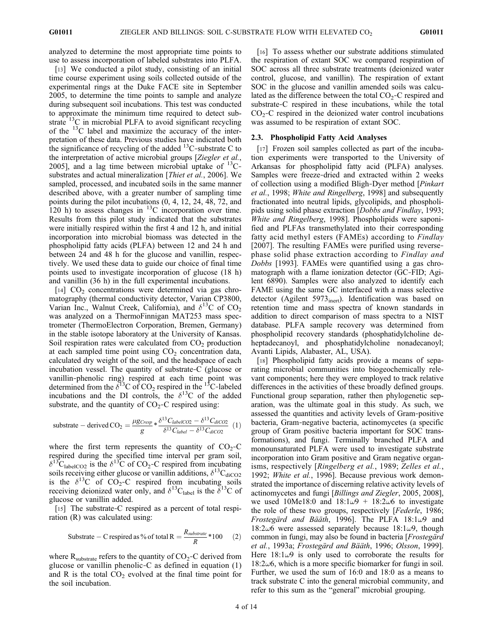analyzed to determine the most appropriate time points to use to assess incorporation of labeled substrates into PLFA.

[13] We conducted a pilot study, consisting of an initial time course experiment using soils collected outside of the experimental rings at the Duke FACE site in September 2005, to determine the time points to sample and analyze during subsequent soil incubations. This test was conducted to approximate the minimum time required to detect substrate  ${}^{13}$ C in microbial PLFA to avoid significant recycling of the 13C label and maximize the accuracy of the interpretation of these data. Previous studies have indicated both the significance of recycling of the added  $^{13}$ C-substrate C to the interpretation of active microbial groups [Ziegler et al., 2005], and a lag time between microbial uptake of  $^{13}C$ substrates and actual mineralization [Thiet et al., 2006]. We sampled, processed, and incubated soils in the same manner described above, with a greater number of sampling time points during the pilot incubations (0, 4, 12, 24, 48, 72, and 120 h) to assess changes in  ${}^{13}$ C incorporation over time. Results from this pilot study indicated that the substrates were initially respired within the first 4 and 12 h, and initial incorporation into microbial biomass was detected in the phospholipid fatty acids (PLFA) between 12 and 24 h and between 24 and 48 h for the glucose and vanillin, respectively. We used these data to guide our choice of final time points used to investigate incorporation of glucose (18 h) and vanillin (36 h) in the full experimental incubations.

[14]  $CO<sub>2</sub>$  concentrations were determined via gas chromatography (thermal conductivity detector, Varian CP3800, Varian Inc., Walnut Creek, California), and  $\delta^{13}C$  of CO<sub>2</sub> was analyzed on a ThermoFinnigan MAT253 mass spectrometer (ThermoElectron Corporation, Bremen, Germany) in the stable isotope laboratory at the University of Kansas. Soil respiration rates were calculated from  $CO<sub>2</sub>$  production at each sampled time point using  $CO<sub>2</sub>$  concentration data, calculated dry weight of the soil, and the headspace of each incubation vessel. The quantity of substrate‐C (glucose or vanillin‐phenolic ring) respired at each time point was determined from the  $\delta^{13}C$  of CO<sub>2</sub> respired in the <sup>13</sup>C-labeled incubations and the DI controls, the  $\delta^{13}$ C of the added substrate, and the quantity of  $CO<sub>2</sub>-C$  respired using:

substrate – derived 
$$
CO_2 = \frac{\mu g_{Cresp}}{g} * \frac{\delta^{13} C_{labelCO2} - \delta^{13} C_{dicO2}}{\delta^{13} C_{label} - \delta^{13} C_{dicO2}}
$$
 (1)

where the first term represents the quantity of  $CO<sub>2</sub>-C$ respired during the specified time interval per gram soil,  $\delta^{13}$ C<sub>labelCO2</sub> is the  $\delta^{13}$ C of CO<sub>2</sub>-C respired from incubating soils receiving either glucose or vanillin additions,  $\delta^{13}C_{diCO2}$ is the  $\delta^{13}$ C of CO<sub>2</sub>-C respired from incubating soils receiving deionized water only, and  $\delta^{13}C_{\text{label}}$  is the  $\delta^{13}C$  of glucose or vanillin added.

[15] The substrate-C respired as a percent of total respiration (R) was calculated using:

Substrate – C respired as % of total R = 
$$
\frac{R_{substrate}}{R} * 100
$$
 (2)

where  $R_{\text{substrate}}$  refers to the quantity of CO<sub>2</sub>-C derived from glucose or vanillin phenolic–C as defined in equation  $(1)$ and R is the total  $CO<sub>2</sub>$  evolved at the final time point for the soil incubation.

[16] To assess whether our substrate additions stimulated the respiration of extant SOC we compared respiration of SOC across all three substrate treatments (deionized water control, glucose, and vanillin). The respiration of extant SOC in the glucose and vanillin amended soils was calculated as the difference between the total  $CO<sub>2</sub>-C$  respired and substrate‐C respired in these incubations, while the total  $CO<sub>2</sub>$ –C respired in the deionized water control incubations was assumed to be respiration of extant SOC.

#### 2.3. Phospholipid Fatty Acid Analyses

[17] Frozen soil samples collected as part of the incubation experiments were transported to the University of Arkansas for phospholipid fatty acid (PLFA) analyses. Samples were freeze-dried and extracted within 2 weeks of collection using a modified Bligh‐Dyer method [Pinkart et al., 1998; White and Ringelberg, 1998] and subsequently fractionated into neutral lipids, glycolipids, and phospholipids using solid phase extraction [Dobbs and Findlay, 1993; White and Ringelberg, 1998]. Phospholipids were saponified and PLFAs transmethylated into their corresponding fatty acid methyl esters (FAMEs) according to Findlay [2007]. The resulting FAMEs were purified using reversephase solid phase extraction according to Findlay and Dobbs [1993]. FAMEs were quantified using a gas chromatograph with a flame ionization detector (GC‐FID; Agilent 6890). Samples were also analyzed to identify each FAME using the same GC interfaced with a mass selective detector (Agilent 5973<sub>inert</sub>). Identification was based on retention time and mass spectra of known standards in addition to direct comparison of mass spectra to a NIST database. PLFA sample recovery was determined from phospholipid recovery standards (phosphatidylcholine deheptadecanoyl, and phosphatidylcholine nonadecanoyl; Avanti Lipids, Alabaster, AL, USA).

[18] Phospholipid fatty acids provide a means of separating microbial communities into biogeochemically relevant components; here they were employed to track relative differences in the activities of these broadly defined groups. Functional group separation, rather then phylogenetic separation, was the ultimate goal in this study. As such, we assessed the quantities and activity levels of Gram‐positive bacteria, Gram‐negative bacteria, actinomycetes (a specific group of Gram positive bacteria important for SOC transformations), and fungi. Terminally branched PLFA and monounsaturated PLFA were used to investigate substrate incorporation into Gram positive and Gram negative organisms, respectively [Ringelberg et al., 1989; Zelles et al., 1992; White et al., 1996]. Because previous work demonstrated the importance of discerning relative activity levels of actinomycetes and fungi [Billings and Ziegler, 2005, 2008], we used 10Me18:0 and  $18:1\omega$ 9 + 18:2 $\omega$ 6 to investigate the role of these two groups, respectively [Federle, 1986; Frostegärd and Bääth, 1996]. The PLFA  $18:1\omega$ 9 and  $18:2\omega$ 6 were assessed separately because  $18:1\omega$ 9, though common in fungi, may also be found in bacteria [Frostegärd et al., 1993a; Frostegärd and Bääth, 1996; Olsson, 1999]. Here  $18:1\omega$ 9 is only used to corroborate the results for  $18:2\omega$ 6, which is a more specific biomarker for fungi in soil. Further, we used the sum of 16:0 and 18:0 as a means to track substrate C into the general microbial community, and refer to this sum as the "general" microbial grouping.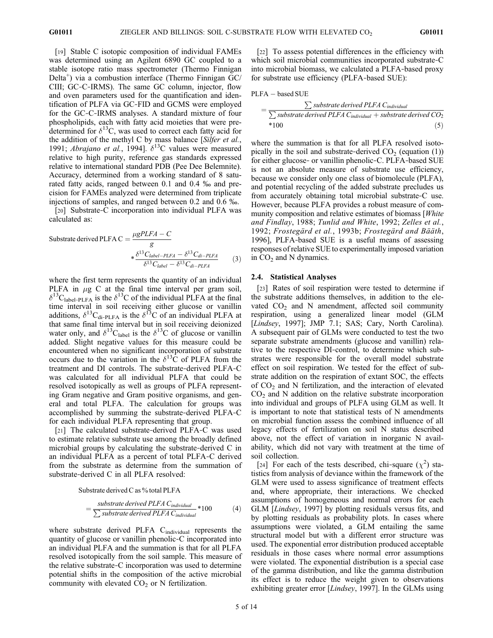[19] Stable C isotopic composition of individual FAMEs was determined using an Agilent 6890 GC coupled to a stable isotope ratio mass spectrometer (Thermo Finnigan Delta<sup>+</sup>) via a combustion interface (Thermo Finnigan  $\tilde{G}C$ / CIII; GC‐C‐IRMS). The same GC column, injector, flow and oven parameters used for the quantification and identification of PLFA via GC‐FID and GCMS were employed for the GC‐C‐IRMS analyses. A standard mixture of four phospholipids, each with fatty acid moieties that were predetermined for  $\delta^{13}$ C, was used to correct each fatty acid for the addition of the methyl C by mass balance [Silfer et al., 1991; Abrajano et al., 1994].  $\delta^{13}$ C values were measured relative to high purity, reference gas standards expressed relative to international standard PDB (Pee Dee Belemnite). Accuracy, determined from a working standard of 8 saturated fatty acids, ranged between 0.1 and 0.4 ‰ and precision for FAMEs analyzed were determined from triplicate injections of samples, and ranged between 0.2 and 0.6 ‰.

[20] Substrate-C incorporation into individual PLFA was calculated as:

Substrate derived PLFA C = 
$$
\frac{\mu gPLFA - C}{g}
$$

$$
* \frac{\delta^{13}C_{label-PLFA} - \delta^{13}C_{di-PLFA}}{\delta^{13}C_{label} - \delta^{13}C_{di-PLFA}}
$$
(3)

where the first term represents the quantity of an individual PLFA in  $\mu$ g C at the final time interval per gram soil,  $\delta^{13}$ C<sub>label-PLFA</sub> is the  $\delta^{13}$ C of the individual PLFA at the final time interval in soil receiving either glucose or vanillin additions,  $\delta^{13}C_{di-PLFA}$  is the  $\delta^{13}C$  of an individual PLFA at that same final time interval but in soil receiving deionized water only, and  $\delta^{13}C_{\text{label}}$  is the  $\delta^{13}C$  of glucose or vanillin added. Slight negative values for this measure could be encountered when no significant incorporation of substrate occurs due to the variation in the  $\delta^{13}$ C of PLFA from the treatment and DI controls. The substrate‐derived PLFA‐C was calculated for all individual PLFA that could be resolved isotopically as well as groups of PLFA representing Gram negative and Gram positive organisms, and general and total PLFA. The calculation for groups was accomplished by summing the substrate‐derived PLFA‐C for each individual PLFA representing that group.

[21] The calculated substrate-derived PLFA-C was used to estimate relative substrate use among the broadly defined microbial groups by calculating the substrate‐derived C in an individual PLFA as a percent of total PLFA‐C derived from the substrate as determine from the summation of substrate-derived C in all PLFA resolved:

Substrate derived C as % total PLFA

$$
=\frac{substrate\ derived\ PLFA\ C_{individual}}{\sum\ subset rate\ derived\ PLFA\ C_{individual}}*100\tag{4}
$$

where substrate derived PLFA C<sub>individual</sub> represents the quantity of glucose or vanillin phenolic‐C incorporated into an individual PLFA and the summation is that for all PLFA resolved isotopically from the soil sample. This measure of the relative substrate‐C incorporation was used to determine potential shifts in the composition of the active microbial community with elevated  $CO<sub>2</sub>$  or N fertilization.

[22] To assess potential differences in the efficiency with which soil microbial communities incorporated substrate-C into microbial biomass, we calculated a PLFA‐based proxy for substrate use efficiency (PLFA‐based SUE):

$$
PLFA-based SUE
$$

$$
= \frac{\sum \text{substrate derived } PLFA \, C_{individual}}{\sum \text{substrate derived } PLFA \, C_{individual} + \text{substrate derived } CO_{2}}
$$
\n\*100 \n(5)

where the summation is that for all PLFA resolved isotopically in the soil and substrate-derived  $CO<sub>2</sub>$  (equation (1)) for either glucose‐ or vanillin phenolic‐C. PLFA‐based SUE is not an absolute measure of substrate use efficiency, because we consider only one class of biomolecule (PLFA), and potential recycling of the added substrate precludes us from accurately obtaining total microbial substrate‐C use. However, because PLFA provides a robust measure of community composition and relative estimates of biomass [White and Findlay, 1988; Tunlid and White, 1992; Zelles et al., 1992; Frostegärd et al., 1993b; Frostegärd and Bääth, 1996], PLFA‐based SUE is a useful means of assessing responses of relative SUE to experimentally imposed variation in  $CO<sub>2</sub>$  and N dynamics.

#### 2.4. Statistical Analyses

[23] Rates of soil respiration were tested to determine if the substrate additions themselves, in addition to the elevated  $CO<sub>2</sub>$  and N amendment, affected soil community respiration, using a generalized linear model (GLM [Lindsey, 1997]; JMP 7.1; SAS; Cary, North Carolina). A subsequent pair of GLMs were conducted to test the two separate substrate amendments (glucose and vanillin) relative to the respective DI‐control, to determine which substrates were responsible for the overall model substrate effect on soil respiration. We tested for the effect of substrate addition on the respiration of extant SOC, the effects of CO<sub>2</sub> and N fertilization, and the interaction of elevated  $CO<sub>2</sub>$  and N addition on the relative substrate incorporation into individual and groups of PLFA using GLM as well. It is important to note that statistical tests of N amendments on microbial function assess the combined influence of all legacy effects of fertilization on soil N status described above, not the effect of variation in inorganic N availability, which did not vary with treatment at the time of soil collection.

[24] For each of the tests described, chi-square  $(\chi^2)$  statistics from analysis of deviance within the framework of the GLM were used to assess significance of treatment effects and, where appropriate, their interactions. We checked assumptions of homogeneous and normal errors for each GLM [Lindsey, 1997] by plotting residuals versus fits, and by plotting residuals as probability plots. In cases where assumptions were violated, a GLM entailing the same structural model but with a different error structure was used. The exponential error distribution produced acceptable residuals in those cases where normal error assumptions were violated. The exponential distribution is a special case of the gamma distribution, and like the gamma distribution its effect is to reduce the weight given to observations exhibiting greater error [Lindsey, 1997]. In the GLMs using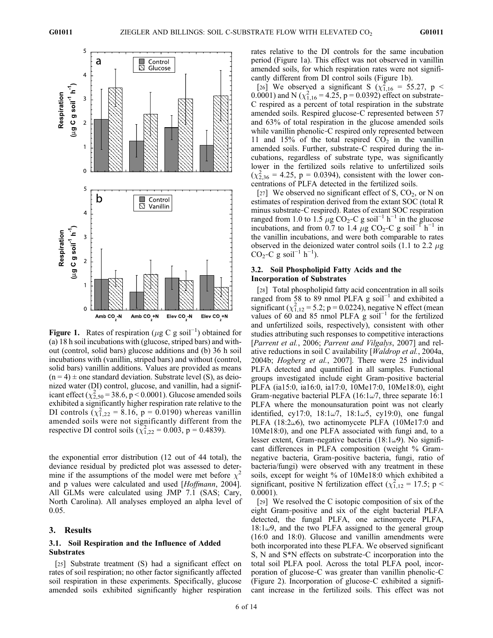

**Figure 1.** Rates of respiration ( $\mu$ g C g soil<sup>-1</sup>) obtained for (a) 18 h soil incubations with (glucose strined bars) and with-(a) 18 h soil incubations with (glucose, striped bars) and without (control, solid bars) glucose additions and (b) 36 h soil incubations with (vanillin, striped bars) and without (control, solid bars) vanillin additions. Values are provided as means  $(n = 4) \pm$  one standard deviation. Substrate level (S), as deionized water (DI) control, glucose, and vanillin, had a significant effect  $(\chi^2_{2,50} = 38.6, p < 0.0001)$ . Glucose amended soils exhibited a significantly higher respiration rate relative to the DI controls  $(\chi_{1,22}^2 = 8.16, p = 0.0190)$  whereas vanillin amended soils were not significantly different from the respective DI control soils  $(\chi_{1,22}^2 = 0.003, p = 0.4839)$ .

the exponential error distribution (12 out of 44 total), the deviance residual by predicted plot was assessed to determine if the assumptions of the model were met before  $\chi$ and p values were calculated and used [*Hoffmann*, 2004]. All GLMs were calculated using JMP 7.1 (SAS; Cary, North Carolina). All analyses employed an alpha level of 0.05.

#### 3. Results

## 3.1. Soil Respiration and the Influence of Added Substrates

[25] Substrate treatment (S) had a significant effect on rates of soil respiration; no other factor significantly affected soil respiration in these experiments. Specifically, glucose amended soils exhibited significantly higher respiration rates relative to the DI controls for the same incubation period (Figure 1a). This effect was not observed in vanillin amended soils, for which respiration rates were not significantly different from DI control soils (Figure 1b).

[26] We observed a significant S  $(\chi_{1,16}^2 = 55.27, p <$ 0.0001) and N ( $\chi^2_{1,16}$  = 4.25, p = 0.0392) effect on substrate-C respired as a percent of total respiration in the substrate amended soils. Respired glucose‐C represented between 57 and 63% of total respiration in the glucose amended soils while vanillin phenolic-C respired only represented between 11 and 15% of the total respired  $CO<sub>2</sub>$  in the vanillin amended soils. Further, substrate‐C respired during the incubations, regardless of substrate type, was significantly lower in the fertilized soils relative to unfertilized soils  $(\chi_{2,36}^2 = 4.25, p = 0.0394)$ , consistent with the lower concentrations of PLFA detected in the fertilized soils.

[27] We observed no significant effect of S,  $CO<sub>2</sub>$ , or N on estimates of respiration derived from the extant SOC (total R minus substrate‐C respired). Rates of extant SOC respiration ranged from 1.0 to 1.5  $\mu$ g CO<sub>2</sub>-C g soil<sup>-1</sup> h<sup>-1</sup> in the glucose incubations, and from 0.7 to 1.4  $\mu$ g CO<sub>2</sub>-C g soil<sup>-1</sup> h<sup>-1</sup> in the vanillin incubations, and were both comparable to rates observed in the deionized water control soils (1.1 to 2.2  $\mu$ g CO<sub>2</sub>-C g soil<sup>-1</sup> h<sup>-1</sup>).

## 3.2. Soil Phospholipid Fatty Acids and the Incorporation of Substrates

[28] Total phospholipid fatty acid concentration in all soils ranged from 58 to 89 nmol PLFA g soil<sup>-1</sup> and exhibited a significant  $(\chi_{1,12}^2 = 5.2; p = 0.0224)$ , negative N effect (mean values of 60 and 85 nmol PLFA  $\hat{g}$  soil<sup>-1</sup> for the fertilized and unfertilized soils, respectively), consistent with other studies attributing such responses to competitive interactions [Parrent et al., 2006; Parrent and Vilgalys, 2007] and relative reductions in soil C availability [Waldrop et al., 2004a, 2004b; Hogberg et al., 2007]. There were 25 individual PLFA detected and quantified in all samples. Functional groups investigated include eight Gram‐positive bacterial PLFA (ia15:0, ia16:0, ia17:0, 10Me17:0, 10Me18:0), eight Gram-negative bacterial PLFA (16:1 $\omega$ 7, three separate 16:1 PLFA where the monounsaturation point was not clearly identified, cy17:0,  $18:1\omega$ 7,  $18:1\omega$ 5, cy19:0), one fungal PLFA (18:2 $\omega$ 6), two actinomycete PLFA (10Me17:0 and 10Me18:0), and one PLFA associated with fungi and, to a lesser extent, Gram-negative bacteria (18:1 $\omega$ 9). No significant differences in PLFA composition (weight % Gram‐ negative bacteria, Gram‐positive bacteria, fungi, ratio of bacteria/fungi) were observed with any treatment in these soils, except for weight % of 10Me18:0 which exhibited a significant, positive N fertilization effect ( $\chi^2_{1,12} = 17.5$ ; p < 0.0001).

[29] We resolved the C isotopic composition of six of the eight Gram‐positive and six of the eight bacterial PLFA detected, the fungal PLFA, one actinomycete PLFA,  $18:1\omega$ 9, and the two PLFA assigned to the general group (16:0 and 18:0). Glucose and vanillin amendments were both incorporated into these PLFA. We observed significant S, N and S\*N effects on substrate‐C incorporation into the total soil PLFA pool. Across the total PLFA pool, incorporation of glucose‐C was greater than vanillin phenolic‐C (Figure 2). Incorporation of glucose‐C exhibited a significant increase in the fertilized soils. This effect was not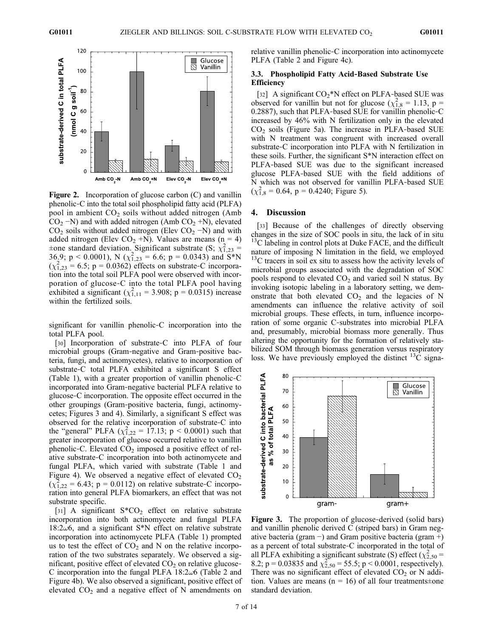

Figure 2. Incorporation of glucose carbon (C) and vanillin phenolic‐C into the total soil phospholipid fatty acid (PLFA) pool in ambient  $CO<sub>2</sub>$  soils without added nitrogen (Amb  $CO<sub>2</sub> - N$ ) and with added nitrogen (Amb  $CO<sub>2</sub> + N$ ), elevated  $CO<sub>2</sub>$  soils without added nitrogen (Elev  $CO<sub>2</sub> - N$ ) and with added nitrogen (Elev CO<sub>2</sub> +N). Values are means (n = 4)  $\pm$ one standard deviation. Significant substrate (S;  $\chi_{1,23}^2$  = 36.9; p < 0.0001), N ( $\chi^{2}_{1,23}$  = 6.6; p = 0.0343) and S\*N  $(\chi_{1,23}^2 = 6.5; p = 0.0362)$  effects on substrate-C incorporation into the total soil PLFA pool were observed with incorporation of glucose‐C into the total PLFA pool having exhibited a significant  $(\chi_{1,11}^2 = 3.908; p = 0.0315)$  increase within the fertilized soils.

significant for vanillin phenolic‐C incorporation into the total PLFA pool.

[30] Incorporation of substrate-C into PLFA of four microbial groups (Gram‐negative and Gram‐positive bacteria, fungi, and actinomycetes), relative to incorporation of substrate‐C total PLFA exhibited a significant S effect (Table 1), with a greater proportion of vanillin phenolic‐C incorporated into Gram‐negative bacterial PLFA relative to glucose‐C incorporation. The opposite effect occurred in the other groupings (Gram‐positive bacteria, fungi, actinomycetes; Figures 3 and 4). Similarly, a significant S effect was observed for the relative incorporation of substrate‐C into the "general" PLFA  $(\chi_{1,22}^2 = 17.13; p < 0.0001)$  such that greater incorporation of glucose occurred relative to vanillin phenolic-C. Elevated  $CO<sub>2</sub>$  imposed a positive effect of relative substrate‐C incorporation into both actinomycete and fungal PLFA, which varied with substrate (Table 1 and Figure 4). We observed a negative effect of elevated  $CO<sub>2</sub>$  $(\chi_{1,22}^2 = 6.43; p = 0.0112)$  on relative substrate-C incorporation into general PLFA biomarkers, an effect that was not substrate specific.

[31] A significant  $S^*CO_2$  effect on relative substrate incorporation into both actinomycete and fungal PLFA  $18:2\omega$ 6, and a significant S<sup>\*</sup>N effect on relative substrate incorporation into actinomycete PLFA (Table 1) prompted us to test the effect of  $CO<sub>2</sub>$  and N on the relative incorporation of the two substrates separately. We observed a significant, positive effect of elevated  $CO<sub>2</sub>$  on relative glucose-C incorporation into the fungal PLFA  $18:2\omega$ 6 (Table 2 and Figure 4b). We also observed a significant, positive effect of elevated  $CO<sub>2</sub>$  and a negative effect of N amendments on

relative vanillin phenolic‐C incorporation into actinomycete PLFA (Table 2 and Figure 4c).

#### 3.3. Phospholipid Fatty Acid‐Based Substrate Use **Efficiency**

[32] A significant  $CO_2$ <sup>\*</sup>N effect on PLFA-based SUE was observed for vanillin but not for glucose ( $\chi^2_{1,8} = 1.13$ , p = 0.2887), such that PLFA‐based SUE for vanillin phenolic‐C increased by 46% with N fertilization only in the elevated  $CO<sub>2</sub>$  soils (Figure 5a). The increase in PLFA-based SUE with N treatment was congruent with increased overall substrate‐C incorporation into PLFA with N fertilization in these soils. Further, the significant S\*N interaction effect on PLFA‐based SUE was due to the significant increased glucose PLFA‐based SUE with the field additions of N which was not observed for vanillin PLFA‐based SUE  $(\chi_{1,8}^2 = 0.64, p = 0.4240;$  Figure 5).

#### 4. Discussion

[33] Because of the challenges of directly observing changes in the size of SOC pools in situ, the lack of in situ  $13<sup>13</sup>C$  labeling in control plots at Duke FACE, and the difficult nature of imposing N limitation in the field, we employed  $13<sup>13</sup>C$  tracers in soil ex situ to assess how the activity levels of microbial groups associated with the degradation of SOC pools respond to elevated  $CO<sub>2</sub>$  and varied soil N status. By invoking isotopic labeling in a laboratory setting, we demonstrate that both elevated  $CO<sub>2</sub>$  and the legacies of N amendments can influence the relative activity of soil microbial groups. These effects, in turn, influence incorporation of some organic C‐substrates into microbial PLFA and, presumably, microbial biomass more generally. Thus altering the opportunity for the formation of relatively stabilized SOM through biomass generation versus respiratory loss. We have previously employed the distinct  $^{13}$ C signa-



Figure 3. The proportion of glucose-derived (solid bars) and vanillin phenolic derived C (striped bars) in Gram negative bacteria (gram –) and Gram positive bacteria (gram +) as a percent of total substrate‐C incorporated in the total of all PLFA exhibiting a significant substrate (S) effect ( $\chi^2_{2,50}$  = 8.2; p = 0.03835 and  $\chi^2_{2,50}$  = 55.5; p < 0.0001, respectively). There was no significant effect of elevated  $CO<sub>2</sub>$  or N addition. Values are means ( $n = 16$ ) of all four treatments±one standard deviation.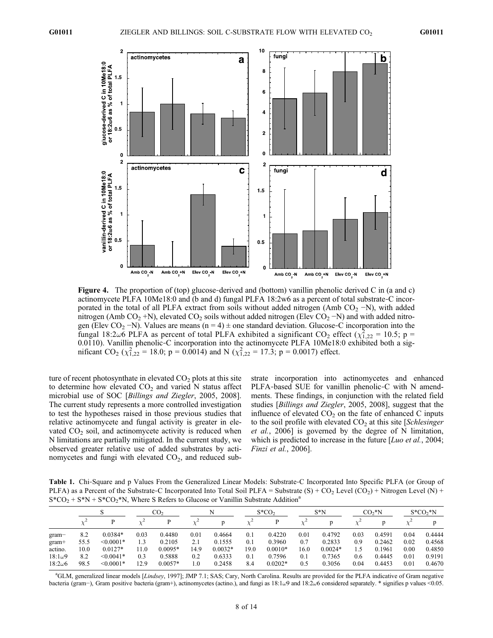

Figure 4. The proportion of (top) glucose-derived and (bottom) vanillin phenolic derived C in (a and c) actinomycete PLFA 10Me18:0 and (b and d) fungal PLFA 18:2w6 as a percent of total substrate‐C incorporated in the total of all PLFA extract from soils without added nitrogen (Amb CO<sub>2</sub> −N), with added nitrogen (Amb CO<sub>2</sub> +N), elevated CO<sub>2</sub> soils without added nitrogen (Elev CO<sub>2</sub> -N) and with added nitrogen (Elev CO<sub>2</sub> −N). Values are means (n = 4) ± one standard deviation. Glucose-C incorporation into the fungal 18:2 $\omega$ 6 PLFA as percent of total PLFA exhibited a significant CO<sub>2</sub> effect ( $\chi_{1,22}^2$  = 10.5; p = 0.0110). Vanillin phenolic-C incorporation into the actinomycete PLFA 10Me18:0 exhibited both a sigmificant CO<sub>2</sub> ( $\chi^{2}_{1,22}$  = 18.0; p = 0.0014) and N ( $\chi^{2}_{1,22}$  = 17.3; p = 0.0017) effect.

ture of recent photosynthate in elevated  $CO<sub>2</sub>$  plots at this site to determine how elevated  $CO<sub>2</sub>$  and varied N status affect microbial use of SOC [Billings and Ziegler, 2005, 2008]. The current study represents a more controlled investigation to test the hypotheses raised in those previous studies that relative actinomycete and fungal activity is greater in elevated  $CO<sub>2</sub>$  soil, and actinomycete activity is reduced when N limitations are partially mitigated. In the current study, we observed greater relative use of added substrates by actinomycetes and fungi with elevated  $CO<sub>2</sub>$ , and reduced substrate incorporation into actinomycetes and enhanced PLFA-based SUE for vanillin phenolic-C with N amendments. These findings, in conjunction with the related field studies [Billings and Ziegler, 2005, 2008], suggest that the influence of elevated  $CO<sub>2</sub>$  on the fate of enhanced C inputs to the soil profile with elevated  $CO<sub>2</sub>$  at this site [Schlesinger et al., 2006] is governed by the degree of N limitation, which is predicted to increase in the future [*Luo et al.*, 2004; Finzi et al., 2006].

Table 1. Chi-Square and p Values From the Generalized Linear Models: Substrate-C Incorporated Into Specific PLFA (or Group of PLFA) as a Percent of the Substrate-C Incorporated Into Total Soil PLFA = Substrate  $(S) + CO_2$  Level  $(CO_2) +$  Nitrogen Level  $(N)$  +  $S*CO<sub>2</sub> + S*N + S*CO<sub>2</sub>*N$ , Where S Refers to Glucose or Vanillin Substrate Addition<sup>a</sup>

|                |      |                | $\rm{CO}_2$ |           |      |           | $S^*CO_2$ |           | $S*N$ |           | $CO2*N$ |        | $S^*CO_2^*N$ |        |
|----------------|------|----------------|-------------|-----------|------|-----------|-----------|-----------|-------|-----------|---------|--------|--------------|--------|
|                |      |                |             |           |      |           |           |           |       |           |         |        |              |        |
| gram           | 8.2  | $0.0384*$      | 0.03        | 0.4480    | 0.01 | 0.4664    | 0.1       | 0.4220    | 0.01  | 0.4792    | 0.03    | 0.4591 | 0.04         | 0.4444 |
| $gram+$        | 55.5 | $\leq 0.0001*$ | 1.3         | 0.2105    | 2.1  | 0.1555    | 0.1       | 0.3960    | 0.7   | 0.2833    | 0.9     | 0.2462 | 0.02         | 0.4568 |
| actino.        | 10.0 | $0.0127*$      | 11.0        | $0.0095*$ | 14.9 | $0.0032*$ | 19.0      | $0.0010*$ | 16.0  | $0.0024*$ |         | 0.1961 | 0.00         | 0.4850 |
| $18:1\omega9$  | 8.2  | $< 0.0041*$    | 0.3         | 0.5888    | 0.2  | 0.6333    | 0.1       | 0.7596    | 0.1   | 0.7365    | 0.6     | 0.4445 | 0.01         | 0.9191 |
| $18:2\omega$ 6 | 98.5 | $\leq 0.0001*$ | 12.9        | $0.0057*$ | 1.0  | 0.2458    | 8.4       | $0.0202*$ | 0.5   | 0.3056    | 0.04    | 0.4453 | 0.01         | 0.4670 |

<sup>a</sup>GLM, generalized linear models [Lindsey, 1997]; JMP 7.1; SAS; Cary, North Carolina. Results are provided for the PLFA indicative of Gram negative bacteria (gram−), Gram positive bacteria (gram+), actinomycetes (actino.), and fungi as 18:1w9 and 18:2w6 considered separately. \* signifies p values <0.05.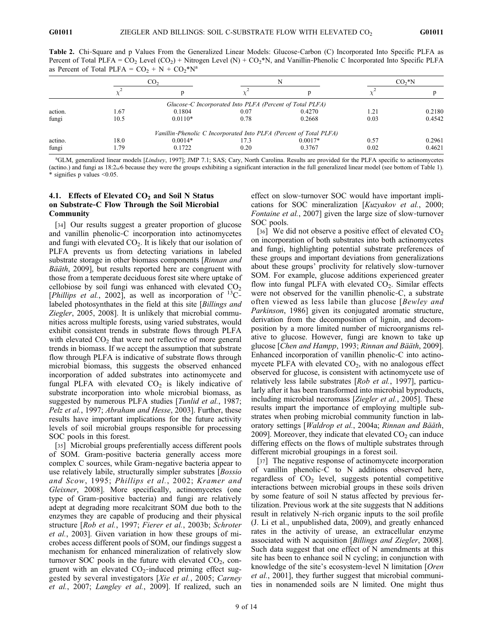Table 2. Chi-Square and p Values From the Generalized Linear Models: Glucose-Carbon (C) Incorporated Into Specific PLFA as Percent of Total PLFA =  $CO_2$  Level ( $CO_2$ ) + Nitrogen Level (N) +  $CO_2^*N$ , and Vanillin-Phenolic C Incorporated Into Specific PLFA as Percent of Total PLFA =  $CO_2 + N + CO_2^*N^a$ 

|         | CO <sub>2</sub> |           |                                                          |                                                                    | $CO2*N$ |        |  |
|---------|-----------------|-----------|----------------------------------------------------------|--------------------------------------------------------------------|---------|--------|--|
|         |                 |           |                                                          |                                                                    |         |        |  |
|         |                 |           | Glucose-C Incorporated Into PLFA (Percent of Total PLFA) |                                                                    |         |        |  |
| action. | 1.67            | 0.1804    | 0.07                                                     | 0.4270                                                             | 1.21    | 0.2180 |  |
| fungi   | 10.5            | $0.0110*$ | 0.78                                                     | 0.2668                                                             | 0.03    | 0.4542 |  |
|         |                 |           |                                                          | Vanillin-Phenolic C Incorporated Into PLFA (Percent of Total PLFA) |         |        |  |
| actino. | 18.0            | $0.0014*$ | 17.3                                                     | $0.0017*$                                                          | 0.57    | 0.2961 |  |
| fungi   | 1.79            | 0.1722    | 0.20                                                     | 0.3767                                                             | 0.02    | 0.4621 |  |

<sup>a</sup>GLM, generalized linear models [Lindsey, 1997]; JMP 7.1; SAS; Cary, North Carolina. Results are provided for the PLFA specific to actinomycetes (actino.) and fungi as  $18:2\omega$ 6 because they were the groups exhibiting a significant interaction in the full generalized linear model (see bottom of Table 1). \* signifies p values <0.05.

#### 4.1. Effects of Elevated  $CO<sub>2</sub>$  and Soil N Status on Substrate‐C Flow Through the Soil Microbial Community

[34] Our results suggest a greater proportion of glucose and vanillin phenolic‐C incorporation into actinomycetes and fungi with elevated  $CO<sub>2</sub>$ . It is likely that our isolation of PLFA prevents us from detecting variations in labeled substrate storage in other biomass components [Rinnan and Bääth, 2009], but results reported here are congruent with those from a temperate deciduous forest site where uptake of cellobiose by soil fungi was enhanced with elevated  $CO<sub>2</sub>$ [*Phillips et al.*, 2002], as well as incorporation of  ${}^{13}C$ labeled photosynthates in the field at this site [Billings and Ziegler, 2005, 2008]. It is unlikely that microbial communities across multiple forests, using varied substrates, would exhibit consistent trends in substrate flows through PLFA with elevated  $CO<sub>2</sub>$  that were not reflective of more general trends in biomass. If we accept the assumption that substrate flow through PLFA is indicative of substrate flows through microbial biomass, this suggests the observed enhanced incorporation of added substrates into actinomycete and fungal PLFA with elevated  $CO<sub>2</sub>$  is likely indicative of substrate incorporation into whole microbial biomass, as suggested by numerous PLFA studies [*Tunlid et al.*, 1987; Pelz et al., 1997; Abraham and Hesse, 2003]. Further, these results have important implications for the future activity levels of soil microbial groups responsible for processing SOC pools in this forest.

[35] Microbial groups preferentially access different pools of SOM. Gram‐positive bacteria generally access more complex C sources, while Gram‐negative bacteria appear to use relatively labile, structurally simpler substrates [*Bossio*] and Scow, 1995; Phillips et al., 2002; Kramer and Gleixner, 2008]. More specifically, actinomycetes (one type of Gram‐positive bacteria) and fungi are relatively adept at degrading more recalcitrant SOM due both to the enzymes they are capable of producing and their physical structure [Rob et al., 1997; Fierer et al., 2003b; Schroter et al., 2003]. Given variation in how these groups of microbes access different pools of SOM, our findings suggest a mechanism for enhanced mineralization of relatively slow turnover SOC pools in the future with elevated  $CO<sub>2</sub>$ , congruent with an elevated  $CO_2$ -induced priming effect suggested by several investigators [Xie et al., 2005; Carney et al., 2007; Langley et al., 2009]. If realized, such an

effect on slow‐turnover SOC would have important implications for SOC mineralization [Kuzyakov et al., 2000; Fontaine et al., 2007] given the large size of slow-turnover SOC pools.

[36] We did not observe a positive effect of elevated  $CO<sub>2</sub>$ on incorporation of both substrates into both actinomycetes and fungi, highlighting potential substrate preferences of these groups and important deviations from generalizations about these groups' proclivity for relatively slow‐turnover SOM. For example, glucose additions experienced greater flow into fungal PLFA with elevated  $CO<sub>2</sub>$ . Similar effects were not observed for the vanillin phenolic–C, a substrate often viewed as less labile than glucose [Bewley and Parkinson, 1986] given its conjugated aromatic structure, derivation from the decomposition of lignin, and decomposition by a more limited number of microorganisms relative to glucose. However, fungi are known to take up glucose [Chen and Hampp, 1993; Rinnan and Bääth, 2009]. Enhanced incorporation of vanillin phenolic‐C into actinomycete PLFA with elevated  $CO<sub>2</sub>$ , with no analogous effect observed for glucose, is consistent with actinomycete use of relatively less labile substrates [Rob et al., 1997], particularly after it has been transformed into microbial byproducts, including microbial necromass [Ziegler et al., 2005]. These results impart the importance of employing multiple substrates when probing microbial community function in laboratory settings [Waldrop et al., 2004a; Rinnan and Bääth, 2009]. Moreover, they indicate that elevated  $CO<sub>2</sub>$  can induce differing effects on the flows of multiple substrates through different microbial groupings in a forest soil.

[37] The negative response of actinomycete incorporation of vanillin phenolic‐C to N additions observed here, regardless of  $CO<sub>2</sub>$  level, suggests potential competitive interactions between microbial groups in these soils driven by some feature of soil N status affected by previous fertilization. Previous work at the site suggests that N additions result in relatively N‐rich organic inputs to the soil profile (J. Li et al., unpublished data, 2009), and greatly enhanced rates in the activity of urease, an extracellular enzyme associated with N acquisition [Billings and Ziegler, 2008]. Such data suggest that one effect of N amendments at this site has been to enhance soil N cycling; in conjunction with knowledge of the site's ecosystem-level N limitation [Oren] et al., 2001], they further suggest that microbial communities in nonamended soils are N limited. One might thus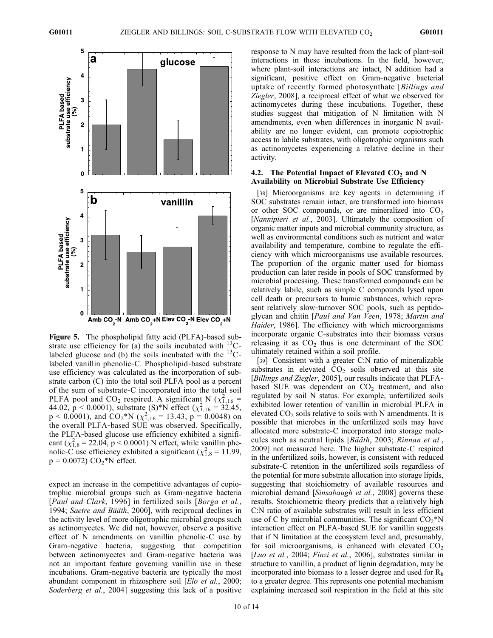

Figure 5. The phospholipid fatty acid (PLFA)-based substrate use efficiency for (a) the soils incubated with  $^{13}$ C– labeled glucose and (b) the soils incubated with the  $^{13}$ C– labeled vanillin phenolic‐C. Phospholipid‐based substrate use efficiency was calculated as the incorporation of substrate carbon (C) into the total soil PLFA pool as a percent of the sum of substrate‐C incorporated into the total soil PLFA pool and CO<sub>2</sub> respired. A significant N ( $\chi^2_{1,16}$  = 44.02,  $p < 0.0001$ ), substrate (S)\*N effect ( $\chi^2_{1,16} = 32.45$ ,  $p < 0.0001$ ), and  $CO_2^*N$  ( $\chi^2_{1,16} = 13.43$ ,  $p = 0.0048$ ) on the overall PLFA‐based SUE was observed. Specifically, the PLFA‐based glucose use efficiency exhibited a significant  $(\chi^2_{1,8} = 22.04, p < 0.0001)$  N effect, while vanillin phenolic-C use efficiency exhibited a significant ( $\chi^2_{1,8} = 11.99$ ,  $p = 0.0072$ )  $CO<sub>2</sub>$ <sup>\*</sup>N effect.

expect an increase in the competitive advantages of copiotrophic microbial groups such as Gram‐negative bacteria [Paul and Clark, 1996] in fertilized soils [Borga et al., 1994; Saetre and Bääth, 2000], with reciprocal declines in the activity level of more oligotrophic microbial groups such as actinomycetes. We did not, however, observe a positive effect of N amendments on vanillin phenolic‐C use by Gram‐negative bacteria, suggesting that competition between actinomycetes and Gram‐negative bacteria was not an important feature governing vanillin use in these incubations. Gram‐negative bacteria are typically the most abundant component in rhizosphere soil [Elo et al., 2000; Soderberg et al., 2004] suggesting this lack of a positive

response to N may have resulted from the lack of plant‐soil interactions in these incubations. In the field, however, where plant-soil interactions are intact, N addition had a significant, positive effect on Gram‐negative bacterial uptake of recently formed photosynthate [Billings and Ziegler, 2008], a reciprocal effect of what we observed for actinomycetes during these incubations. Together, these studies suggest that mitigation of N limitation with N amendments, even when differences in inorganic N availability are no longer evident, can promote copiotrophic access to labile substrates, with oligotrophic organisms such as actinomycetes experiencing a relative decline in their activity.

## 4.2. The Potential Impact of Elevated  $CO<sub>2</sub>$  and N Availability on Microbial Substrate Use Efficiency

[38] Microorganisms are key agents in determining if SOC substrates remain intact, are transformed into biomass or other SOC compounds, or are mineralized into  $CO<sub>2</sub>$ [Nannipieri et al., 2003]. Ultimately the composition of organic matter inputs and microbial community structure, as well as environmental conditions such as nutrient and water availability and temperature, combine to regulate the efficiency with which microorganisms use available resources. The proportion of the organic matter used for biomass production can later reside in pools of SOC transformed by microbial processing. These transformed compounds can be relatively labile, such as simple C compounds lysed upon cell death or precursors to humic substances, which represent relatively slow-turnover SOC pools, such as peptidoglycan and chitin [Paul and Van Veen, 1978; Martin and Haider, 1986]. The efficiency with which microorganisms incorporate organic C‐substrates into their biomass versus releasing it as  $CO<sub>2</sub>$  thus is one determinant of the SOC ultimately retained within a soil profile.

[39] Consistent with a greater C:N ratio of mineralizable substrates in elevated  $CO<sub>2</sub>$  soils observed at this site [Billings and Ziegler, 2005], our results indicate that PLFA– based SUE was dependent on  $CO<sub>2</sub>$  treatment, and also regulated by soil N status. For example, unfertilized soils exhibited lower retention of vanillin in microbial PLFA in elevated  $CO<sub>2</sub>$  soils relative to soils with N amendments. It is possible that microbes in the unfertilized soils may have allocated more substrate‐C incorporated into storage molecules such as neutral lipids [Bääth, 2003; Rinnan et al., 2009] not measured here. The higher substrate‐C respired in the unfertilized soils, however, is consistent with reduced substrate‐C retention in the unfertilized soils regardless of the potential for more substrate allocation into storage lipids, suggesting that stoichiometry of available resources and microbial demand [Sinsabaugh et al., 2008] governs these results. Stoichiometric theory predicts that a relatively high C:N ratio of available substrates will result in less efficient use of C by microbial communities. The significant  $CO_2^*N$ interaction effect on PLFA‐based SUE for vanillin suggests that if N limitation at the ecosystem level and, presumably, for soil microorganisms, is enhanced with elevated  $CO<sub>2</sub>$ [Luo et al., 2004; Finzi et al., 2006], substrates similar in structure to vanillin, a product of lignin degradation, may be incorporated into biomass to a lesser degree and used for  $R<sub>h</sub>$ to a greater degree. This represents one potential mechanism explaining increased soil respiration in the field at this site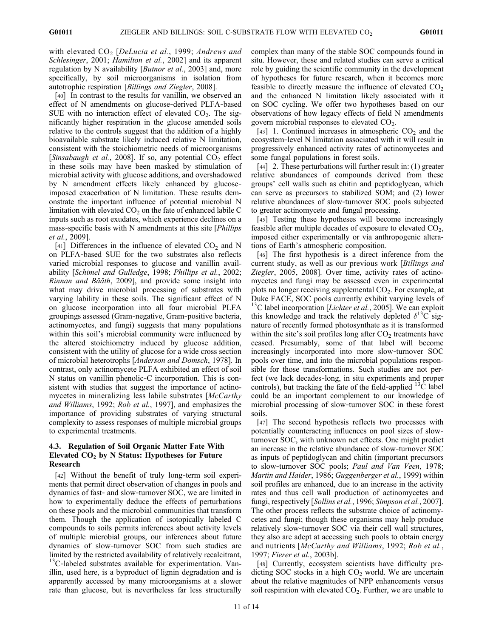with elevated  $CO<sub>2</sub>$  [DeLucia et al., 1999; Andrews and Schlesinger, 2001; Hamilton et al., 2002] and its apparent regulation by N availability [*Butnor et al.*, 2003] and, more specifically, by soil microorganisms in isolation from autotrophic respiration [Billings and Ziegler, 2008].

[40] In contrast to the results for vanillin, we observed an effect of N amendments on glucose‐derived PLFA‐based SUE with no interaction effect of elevated  $CO<sub>2</sub>$ . The significantly higher respiration in the glucose amended soils relative to the controls suggest that the addition of a highly bioavailable substrate likely induced relative N limitation, consistent with the stoichiometric needs of microorganisms [Sinsabaugh et al., 2008]. If so, any potential  $CO<sub>2</sub>$  effect in these soils may have been masked by stimulation of microbial activity with glucose additions, and overshadowed by N amendment effects likely enhanced by glucoseimposed exacerbation of N limitation. These results demonstrate the important influence of potential microbial N limitation with elevated  $CO<sub>2</sub>$  on the fate of enhanced labile C inputs such as root exudates, which experience declines on a mass-specific basis with N amendments at this site [*Phillips* et al., 2009].

[41] Differences in the influence of elevated  $CO<sub>2</sub>$  and N on PLFA‐based SUE for the two substrates also reflects varied microbial responses to glucose and vanillin availability [Schimel and Gulledge, 1998; Phillips et al., 2002; Rinnan and Bääth, 2009], and provide some insight into what may drive microbial processing of substrates with varying lability in these soils. The significant effect of N on glucose incorporation into all four microbial PLFA groupings assessed (Gram‐negative, Gram‐positive bacteria, actinomycetes, and fungi) suggests that many populations within this soil's microbial community were influenced by the altered stoichiometry induced by glucose addition, consistent with the utility of glucose for a wide cross section of microbial heterotrophs [Anderson and Domsch, 1978]. In contrast, only actinomycete PLFA exhibited an effect of soil N status on vanillin phenolic‐C incorporation. This is consistent with studies that suggest the importance of actinomycetes in mineralizing less labile substrates [McCarthy] and Williams, 1992; Rob et al., 1997], and emphasizes the importance of providing substrates of varying structural complexity to assess responses of multiple microbial groups to experimental treatments.

# 4.3. Regulation of Soil Organic Matter Fate With Elevated  $CO<sub>2</sub>$  by N Status: Hypotheses for Future Research

[42] Without the benefit of truly long‐term soil experiments that permit direct observation of changes in pools and dynamics of fast‐ and slow‐turnover SOC, we are limited in how to experimentally deduce the effects of perturbations on these pools and the microbial communities that transform them. Though the application of isotopically labeled C compounds to soils permits inferences about activity levels of multiple microbial groups, our inferences about future dynamics of slow‐turnover SOC from such studies are limited by the restricted availability of relatively recalcitrant,  $13$ C-labeled substrates available for experimentation. Vanillin, used here, is a byproduct of lignin degradation and is apparently accessed by many microorganisms at a slower rate than glucose, but is nevertheless far less structurally

complex than many of the stable SOC compounds found in situ. However, these and related studies can serve a critical role by guiding the scientific community in the development of hypotheses for future research, when it becomes more feasible to directly measure the influence of elevated  $CO<sub>2</sub>$ and the enhanced N limitation likely associated with it on SOC cycling. We offer two hypotheses based on our observations of how legacy effects of field N amendments govern microbial responses to elevated  $CO<sub>2</sub>$ .

[43] 1. Continued increases in atmospheric  $CO<sub>2</sub>$  and the ecosystem‐level N limitation associated with it will result in progressively enhanced activity rates of actinomycetes and some fungal populations in forest soils.

[44] 2. These perturbations will further result in: (1) greater relative abundances of compounds derived from these groups' cell walls such as chitin and peptidoglycan, which can serve as precursors to stabilized SOM; and (2) lower relative abundances of slow‐turnover SOC pools subjected to greater actinomycete and fungal processing.

[45] Testing these hypotheses will become increasingly feasible after multiple decades of exposure to elevated  $CO<sub>2</sub>$ , imposed either experimentally or via anthropogenic alterations of Earth's atmospheric composition.

[46] The first hypothesis is a direct inference from the current study, as well as our previous work [Billings and Ziegler, 2005, 2008]. Over time, activity rates of actinomycetes and fungi may be assessed even in experimental plots no longer receiving supplemental  $CO<sub>2</sub>$ . For example, at Duke FACE, SOC pools currently exhibit varying levels of <sup>13</sup>C label incorporation [*Lichter et al.*, 2005]. We can exploit this knowledge and track the relatively depleted  $\delta^{13}C$  signature of recently formed photosynthate as it is transformed within the site's soil profiles long after  $CO<sub>2</sub>$  treatments have ceased. Presumably, some of that label will become increasingly incorporated into more slow-turnover SOC pools over time, and into the microbial populations responsible for those transformations. Such studies are not perfect (we lack decades‐long, in situ experiments and proper controls), but tracking the fate of the field-applied  $^{13}$ C label could be an important complement to our knowledge of microbial processing of slow‐turnover SOC in these forest soils.

[47] The second hypothesis reflects two processes with potentially counteracting influences on pool sizes of slow‐ turnover SOC, with unknown net effects. One might predict an increase in the relative abundance of slow‐turnover SOC as inputs of peptidoglycan and chitin (important precursors to slow-turnover SOC pools; Paul and Van Veen, 1978; Martin and Haider, 1986; Guggenberger et al., 1999) within soil profiles are enhanced, due to an increase in the activity rates and thus cell wall production of actinomycetes and fungi, respectively [Sollins et al., 1996; Simpson et al., 2007]. The other process reflects the substrate choice of actinomycetes and fungi; though these organisms may help produce relatively slow‐turnover SOC via their cell wall structures, they also are adept at accessing such pools to obtain energy and nutrients [McCarthy and Williams, 1992; Rob et al., 1997; Fierer et al., 2003b].

[48] Currently, ecosystem scientists have difficulty predicting SOC stocks in a high  $CO<sub>2</sub>$  world. We are uncertain about the relative magnitudes of NPP enhancements versus soil respiration with elevated  $CO<sub>2</sub>$ . Further, we are unable to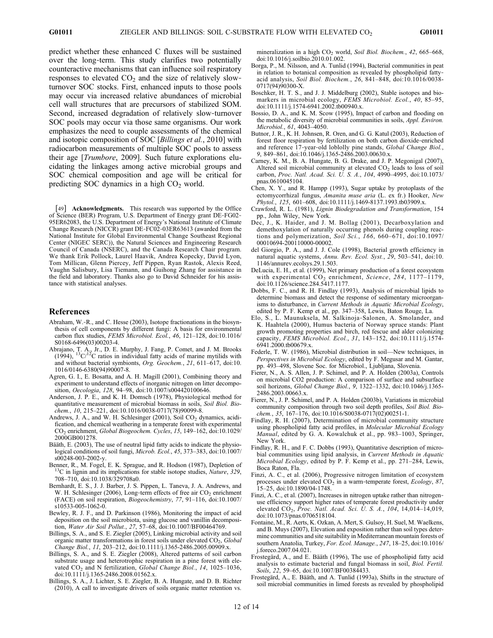predict whether these enhanced C fluxes will be sustained over the long‐term. This study clarifies two potentially counteractive mechanisms that can influence soil respiratory responses to elevated  $CO<sub>2</sub>$  and the size of relatively slowturnover SOC stocks. First, enhanced inputs to those pools may occur via increased relative abundances of microbial cell wall structures that are precursors of stabilized SOM. Second, increased degradation of relatively slow-turnover SOC pools may occur via those same organisms. Our work emphasizes the need to couple assessments of the chemical and isotopic composition of SOC [Billings et al., 2010] with radiocarbon measurements of multiple SOC pools to assess their age [Trumbore, 2009]. Such future explorations elucidating the linkages among active microbial groups and SOC chemical composition and age will be critical for predicting SOC dynamics in a high  $CO<sub>2</sub>$  world.

[49] **Acknowledgments.** This research was supported by the Office of Science (BER) Program, U.S. Department of Energy grant DE-FG02-95ER62083, the U.S. Department of Energy's National Institute of Climate Change Research (NICCR) grant DE‐FC02‐03ER63613 (awarded from the National Institute for Global Environmental Change Southeast Regional Center (NIGEC SERC)), the Natural Sciences and Engineering Research Council of Canada (NSERC), and the Canada Research Chair program. We thank Erik Pollock, Laurel Haavik, Andrea Kopecky, David Lyon, Tom Millican, Glenn Piercey, Jeff Pippen, Ryan Rastok, Alexis Reed, Vaughn Salisbury, Lisa Tiemann, and Guihong Zhang for assistance in the field and laboratory. Thanks also go to David Schneider for his assistance with statistical analyses.

#### References

- Abraham, W.‐R., and C. Hesse (2003), Isotope fractionations in the biosynthesis of cell components by different fungi: A basis for environmental carbon flux studies, FEMS Microbiol. Ecol., 46, 121-128, doi:10.1016/ S0168-6496(03)00203-4.
- Abrajano, T. A., Jr., D. E. Murphy, J. Fang, P. Comet, and J. M. Brooks (1994),  $^{13}C^{12}C$  ratios in individual fatty acids of marine mytilids with and without bacterial symbionts, Org. Geochem., 21, 611–617, doi:10. 1016/0146-6380(94)90007-8.
- Agren, G. I., E. Bosatta, and A. H. Magill (2001), Combining theory and experiment to understand effects of inorganic nitrogen on litter decomposition, Oecologia, 128, 94-98, doi:10.1007/s004420100646.
- Anderson, J. P. E., and K. H. Domsch (1978), Physiological method for quantitative measurement of microbial biomass in soils, Soil Biol. Bio $chem., 10, 215–221, doi:10.1016/0038-0717(78)90099-8.$
- Andrews, J. A., and W. H. Schlesinger (2001), Soil  $CO<sub>2</sub>$  dynamics, acidification, and chemical weathering in a temperate forest with experimental CO2 enrichment, Global Biogeochem. Cycles, 15, 149–162, doi:10.1029/ 2000GB001278.
- Bääth, E. (2003), The use of neutral lipid fatty acids to indicate the physiological conditions of soil fungi, Microb. Ecol., 45, 373-383, doi:10.1007/ s00248-003-2002-y.
- Benner, R., M. Fogel, E. K. Sprague, and R. Hodson (1987), Depletion of <sup>13</sup>C in lignin and its implications for stable isotope studies, *Nature*, 329, 708–710, doi:10.1038/329708a0.
- Bernhardt, E. S., J. J. Barber, J. S. Pippen, L. Taneva, J. A. Andrews, and W. H. Schlesinger (2006), Long-term effects of free air  $CO<sub>2</sub>$  enrichment (FACE) on soil respiration, Biogeochemistry, 77, 91–116, doi:10.1007/ s10533-005-1062-0.
- Bewley, R. J. F., and D. Parkinson (1986), Monitoring the impact of acid deposition on the soil microbiota, using glucose and vanillin decomposition, Water Air Soil Pollut., 27, 57–68, doi:10.1007/BF00464769.
- Billings, S. A., and S. E. Ziegler (2005), Linking microbial activity and soil organic matter transformations in forest soils under elevated  $CO<sub>2</sub>$ , Global Change Biol., 11, 203–212, doi:10.1111/j.1365-2486.2005.00909.x.
- Billings, S. A., and S. E. Ziegler (2008), Altered patterns of soil carbon substrate usage and heterotrophic respiration in a pine forest with elevated CO<sub>2</sub> and N fertilization, Global Change Biol., 14, 1025-1036, doi:10.1111/j.1365-2486.2008.01562.x.
- Billings, S. A., J. Lichter, S. E. Ziegler, B. A. Hungate, and D. B. Richter (2010), A call to investigate drivers of soils organic matter retention vs.

mineralization in a high  $CO<sub>2</sub>$  world, Soil Biol. Biochem., 42, 665–668, doi:10.1016/j.soilbio.2010.01.002.

- Borga, P., M. Nilsson, and A. Tunlid (1994), Bacterial communities in peat in relation to botanical composition as revealed by phospholipid fattyacid analysis, Soil Biol. Biochem., 26, 841–848, doi:10.1016/0038- 0717(94)90300-X.
- Boschker, H. T. S., and J. J. Middelburg (2002), Stable isotopes and biomarkers in microbial ecology, FEMS Microbiol. Ecol., 40, 85–95, doi:10.1111/j.1574-6941.2002.tb00940.x.
- Bossio, D. A., and K. M. Scow (1995), Impact of carbon and flooding on the metabolic diversity of microbial communities in soils, Appl. Environ. Microbiol., 61, 4043–4050.
- Butnor, J. R., K. H. Johnsen, R. Oren, and G. G. Katul (2003), Reduction of forest floor respiration by fertilization on both carbon dioxide-enriched and reference 17‐year‐old loblolly pine stands, Global Change Biol., 9, 849–861, doi:10.1046/j.1365-2486.2003.00630.x.
- Carney, K. M., B. A. Hungate, B. G. Drake, and J. P. Megonigal (2007), Altered soil microbial community at elevated  $CO<sub>2</sub>$  leads to loss of soil carbon, Proc. Natl. Acad. Sci. U. S. A., 104, 4990-4995, doi:10.1073/ pnas.0610045104.
- Chen, X. Y., and R. Hampp (1993), Sugar uptake by protoplasts of the ectomycorrhizal fungus, Amanita muse aria (L. ex fr.) Hooker, New Phytol., 125, 601-608, doi:10.1111/j.1469-8137.1993.tb03909.x.
- Crawford, R. L. (1981), Lignin Biodegradation and Transformation, 154 pp., John Wiley, New York.
- Dec, J., K. Haider, and J. M. Bollag (2001), Decarboxylation and demethoxylation of naturally occurring phenols during coupling reactions and polymerization, Soil Sci., 166, 660-671, doi:10.1097/ 00010694-200110000-00002.
- del Giorgio, P. A., and J. J. Cole (1998), Bacterial growth efficiency in natural aquatic systems, Annu. Rev. Ecol. Syst., 29, 503–541, doi:10. 1146/annurev.ecolsys.29.1.503.
- DeLucia, E. H., et al. (1999), Net primary production of a forest ecosystem with experimental  $CO<sub>2</sub>$  enrichment, Science, 284, 1177-1179, doi:10.1126/science.284.5417.1177.
- Dobbs, F. C., and R. H. Findlay (1993), Analysis of microbial lipids to determine biomass and detect the response of sedimentary microorganisms to disturbance, in Current Methods in Aquatic Microbial Ecology, edited by P. F. Kemp et al., pp. 347–358, Lewis, Baton Rouge, La.
- Elo, S., L. Maunuksela, M. Salkinoja‐Salonen, A. Smolander, and K. Haahtela (2000), Humus bacteria of Norway spruce stands: Plant growth promoting properties and birch, red fescue and alder colonizing capacity, FEMS Microbiol. Ecol., 31, 143–152, doi:10.1111/j.1574- 6941.2000.tb00679.x.
- Federle, T. W. (1986), Microbial distribution in soil—New techniques, in Perspectives in Microbial Ecology, edited by F. Megusar and M. Gantar, pp. 493–498, Slovene Soc. for Microbiol., Ljubljana, Slovenia.
- Fierer, N., A. S. Allen, J. P. Schimel, and P. A. Holden (2003a), Controls on microbial CO2 production: A comparison of surface and subsurface soil horizons, Global Change Biol., 9, 1322–1332, doi:10.1046/j.1365- 2486.2003.00663.x.
- Fierer, N., J. P. Schimel, and P. A. Holden (2003b), Variations in microbial community composition through two soil depth profiles, Soil Biol. Biochem., 35, 167-176, doi:10.1016/S0038-0717(02)00251-1.
- Findlay, R. H. (2007), Determination of microbial community structure using phospholipid fatty acid profiles, in Molecular Microbial Ecology Manual, edited by G. A. Kowalchuk et al., pp. 983–1003, Springer, New York.
- Findlay, R. H., and F. C. Dobbs (1993), Quantitative description of microbial communities using lipid analysis, in Current Methods in Aquatic Microbial Ecology, edited by P. F. Kemp et al., pp. 271–284, Lewis, Boca Raton, Fla.
- Finzi, A. C., et al. (2006), Progressive nitrogen limitation of ecosystem processes under elevated CO<sub>2</sub> in a warm-temperate forest, Ecology, 87, 15–25, doi:10.1890/04-1748.
- Finzi, A. C., et al. (2007), Increases in nitrogen uptake rather than nitrogenuse efficiency support higher rates of temperate forest productivity under elevated CO<sub>2</sub>, Proc. Natl. Acad. Sci. U. S. A., 104, 14,014-14,019, doi:10.1073/pnas.0706518104.
- Fontaine, M., R. Aerts, K. Ozkan, A. Mert, S. Gulsoy, H. Suel, M. Waelkens, and B. Muys (2007), Elevation and exposition rather than soil types determine communities and site suitability in Mediterranean mountain forests of southern Anatolia, Turkey, For. Ecol. Manage., 247, 18–25, doi:10.1016/ j.foreco.2007.04.021.
- Frostegärd, A., and E. Bääth (1996), The use of phospholipid fatty acid analysis to estimate bacterial and fungal biomass in soil, Biol. Fertil. Soils, 22, 59-65, doi:10.1007/BF00384433.

Frostegärd, A., E. Bääth, and A. Tunlid (1993a), Shifts in the structure of soil microbial communities in limed forests as revealed by phospholipid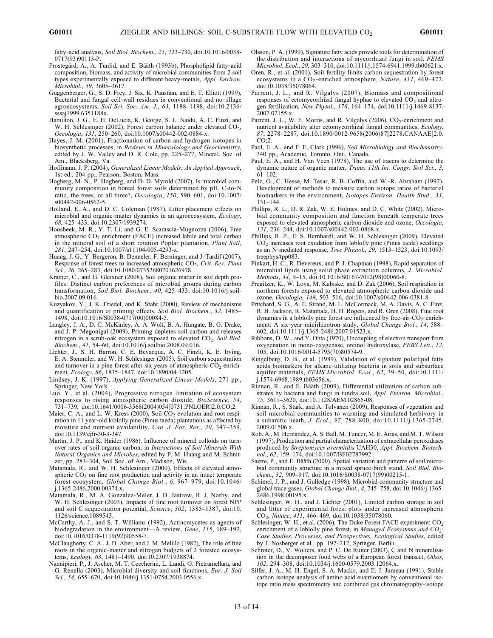fatty‐acid analysis, Soil Biol. Biochem., 25, 723–730, doi:10.1016/0038- 0717(93)90113-P.

- Frostegärd, A., A. Tunlid, and E. Bääth (1993b), Phospholipid fatty‐acid composition, biomass, and activity of microbial communities from 2 soil types experimentally exposed to different heavy-metals, *Appl. Environ.* Microbiol., 59, 3605–3617.
- Guggenberger, G., S. D. Frey, J. Six, K. Paustian, and E. T. Elliott (1999), Bacterial and fungal cell‐wall residues in conventional and no‐tillage agroecosystems, Soil Sci. Soc. Am. J., 63, 1188–1198, doi:10.2136/ sssaj1999.6351188x.
- Hamilton, J. G., E. H. DeLucia, K. George, S. L. Naidu, A. C. Finzi, and W. H. Schlesinger (2002), Forest carbon balance under elevated CO<sub>2</sub>, Oecologia, 131, 250–260, doi:10.1007/s00442-002-0884-x.
- Hayes, J. M. (2001), Fractionation of carbon and hydrogen isotopes in biosynthetic processes, in Reviews in Mineralology and Geochemistry, edited by J. W. Valley and D. R. Cole, pp. 225–277, Mineral. Soc. of Am., Blacksberg, Va.
- Hoffmann, J. P. (2004), Generalized Linear Models: An Applied Approach, 1st ed., 204 pp., Pearson, Boston, Mass.
- Hogberg, M. N., P. Hogberg, and D. D. Myrold (2007), Is microbial community composition in boreal forest soils determined by pH, C-to-N ratio, the trees, or all three?, Oecologia, 150, 590–601, doi:10.1007/ s00442-006-0562-5.
- Holland, E. A., and D. C. Coleman (1987), Litter placement effects on microbial and organic-matter dynamics in an agroecosystem, Ecology, 68, 425–433, doi:10.2307/1939274.
- Hoosbeek, M. R., Y. T. Li, and G. E. Scarascia‐Mugnozza (2006), Free atmospheric CO<sub>2</sub> enrichment (FACE) increased labile and total carbon in the mineral soil of a short rotation Poplar plantation, Plant Soil, 281, 247–254, doi:10.1007/s11104-005-4293-x.
- Huang, J. G., Y. Bergeron, B. Denneler, F. Berninger, and J. Tardif (2007), Response of forest trees to increased atmospheric  $CO<sub>2</sub>$ , Crit. Rev. Plant Sci., 26, 265–283, doi:10.1080/07352680701626978.
- Kramer, C., and G. Gleixner (2008), Soil organic matter in soil depth profiles: Distinct carbon preferences of microbial groups during carbon transformation, Soil Biol. Biochem., 40, 425-433, doi:10.1016/j.soilbio.2007.09.016.
- Kuzyakov, Y., J. K. Friedel, and K. Stahr (2000), Review of mechanisms and quantification of priming effects, Soil Biol. Biochem., 32, 1485– 1498, doi:10.1016/S0038-0717(00)00084-5.
- Langley, J. A., D. C. McKinley, A. A. Wolf, B. A. Hungate, B. G. Drake, and J. P. Megonigal (2009), Priming depletes soil carbon and releases nitrogen in a scrub-oak ecosystem exposed to elevated  $CO<sub>2</sub>$ , Soil Biol. Biochem., 41, 54–60, doi:10.1016/j.soilbio.2008.09.016.
- Lichter, J., S. H. Barron, C. E. Bevacqua, A. C. Finzli, K. E. Irving, E. A. Stemmler, and W. H. Schlesinger (2005), Soil carbon sequestration and turnover in a pine forest after six years of atmospheric  $CO<sub>2</sub>$  enrichment, Ecology, 86, 1835–1847, doi:10.1890/04-1205.
- Lindsey, J. K. (1997), Applying Generalized Linear Models, 271 pp., Springer, New York.
- Luo, Y., et al. (2004), Progressive nitrogen limitation of ecosystem responses to rising atmospheric carbon dioxide, BioScience, 54, 731–739, doi:10.1641/0006-3568(2004)054[0731:PNLOER]2.0.CO;2.
- Maier, C. A., and L. W. Kress (2000), Soil  $CO<sub>2</sub>$  evolution and root respiration in 11 year-old loblolly pine (Pinus taeda) plantations as affected by moisture and nutrient availability, Can. J. For. Res., 30, 347–359, doi:10.1139/cjfr-30-3-347.
- Martin, J. P., and K. Haider (1986), Influence of mineral colloids on turnover rates of soil organic carbon, in Interactions of Soil Minerals With Natural Organics and Microbes, edited by P. M. Huang and M. Schnitzer, pp. 283–304, Soil Soc. of Am., Madison, Wis.
- Matamala, R., and W. H. Schlesinger (2000), Effects of elevated atmospheric  $CO<sub>2</sub>$  on fine root production and activity in an intact temperate forest ecosystem, Global Change Biol., 6, 967–979, doi:10.1046/ j.1365-2486.2000.00374.x.
- Matamala, R., M. A. Gonzalez‐Meler, J. D. Jastrow, R. J. Norby, and W. H. Schlesinger (2003), Impacts of fine root turnover on forest NPP and soil C sequestration potential, Science, 302, 1385–1387, doi:10. 1126/science.1089543.
- McCarthy, A. J., and S. T. Williams (1992), Actinomycetes as agents of biodegradation in the environment—A review, Gene, 115, 189–192, doi:10.1016/0378-1119(92)90558-7.
- McClaugherty, C. A., J. D. Aber, and J. M. Melillo (1982), The role of fine roots in the organic‐matter and nitrogen budgets of 2 forested ecosystems, *Ecology*, 63, 1481-1490, doi:10.2307/1938874.
- Nannipieri, P., J. Ascher, M. T. Ceccherini, L. Landi, G. Pietramellara, and G. Renella (2003), Microbial diversity and soil functions, Eur. J. Soil Sci., 54, 655–670, doi:10.1046/j.1351-0754.2003.0556.x.
- Olsson, P. A. (1999), Signature fatty acids provide tools for determination of the distribution and interactions of mycorrhizal fungi in soil, FEMS Microbiol. Ecol., 29, 303-310, doi:10.1111/j.1574-6941.1999.tb00621.x.
- Oren, R., et al. (2001), Soil fertility limits carbon sequestration by forest ecosystems in a CO<sub>2</sub>-enriched atmosphere, Nature, 411, 469-472, doi:10.1038/35078064.
- Parrent, J. L., and R. Vilgalys (2007), Biomass and compositional responses of ectomycorrhizal fungal hyphae to elevated  $CO<sub>2</sub>$  and nitrogen fertilization, New Phytol., 176, 164–174, doi:10.1111/j.1469-8137. 2007.02155.x.
- Parrent, J. L., W. F. Morris, and R. Vilgalys (2006), CO<sub>2</sub>-enrichment and nutrient availability alter ectomycorrhizal fungal communities, Ecology, 87, 2278–2287, doi:10.1890/0012-9658(2006)87[2278:CANAAE]2.0. CO;2.
- Paul, E. A., and F. E. Clark (1996), Soil Microbiology and Biochemistry, 340 pp., Academic, Toronto, Ont., Canada.
- Paul, E. A., and H. Van Veen (1978), The use of tracers to determine the dynamic nature of organic matter, Trans. 11th Int. Congr. Soil Sci., 3,  $61-102.$
- Pelz, O., C. Hesse, M. Tesar, R. B. Coffin, and W.‐R. Abraham (1997), Development of methods to measure carbon isotope ratios of bacterial biomarkers in the environment, Isotopes Environ. Health Stud., 33, 131–144.
- Phillips, R. L., D. R. Zak, W. E. Holmes, and D. C. White (2002), Microbial community composition and function beneath temperate trees exposed to elevated atmospheric carbon dioxide and ozone, Oecologia,  $131, 236-244, \text{ doi: } 10.1007/\text{s}00442-002-0868-x.$
- Phillips, R. P., E. S. Bernhardt, and W. H. Schlesinger (2009), Elevated CO2 increases root exudation from loblolly pine (Pinus taeda) seedlings as an N‐mediated response, Tree Physiol., 29, 1513–1523, doi:10.1093/ treephys/tpp083.
- Pinkart, H. C., R. Devereux, and P. J. Chapman (1998), Rapid separation of microbial lipids using solid phase extraction columns, J. Microbiol. Methods, 34, 9–15, doi:10.1016/S0167-7012(98)00060-8.
- Pregitzer, K., W. Loya, M. Kubiske, and D. Zak (2006), Soil respiration in northern forests exposed to elevated atmospheric carbon dioxide and ozone, Oecologia, 148, 503–516, doi:10.1007/s00442-006-0381-8.
- Pritchard, S. G., A. E. Strand, M. L. McCormack, M. A. Davis, A. C. Finz, R. B. Jackson, R. Matamala, H. H. Rogers, and R. Oren (2008), Fine root dynamics in a loblolly pine forest are influenced by free-air- $CO_2$ -enrichment: A six-year-minirhizotron study, Global Change Biol., 14, 588-602, doi:10.1111/j.1365-2486.2007.01523.x.
- Ribbons, D. W., and Y. Ohta (1970), Uncoupling of electron transport from oxygenation in mono‐oxygenase, orcinol hydroxylase, FEBS Lett., 12, 105, doi:10.1016/0014-5793(70)80574-9.
- Ringelberg, D. B., et al. (1989), Validation of signature polarlipid fatty acids biomarkers for alkane‐utilizing bacteria in soils and subsurface aquifer materials, FEMS Microbiol. Ecol., 62, 39-50, doi:10.1111/ j.1574-6968.1989.tb03656.x.
- Rinnan, R., and E. Bääth (2009), Differential utilization of carbon substrates by bacteria and fungi in tundra soil, Appl. Environ. Microbiol., 75, 3611–3620, doi:10.1128/AEM.02865-08.
- Rinnan, R., S. Stark, and A. Tolvanen (2009), Responses of vegetation and soil microbial communities to warming and simulated herbivory in a subarctic heath, J. Ecol., 97, 788–800, doi:10.1111/j.1365-2745. 2009.01506.x.
- Rob, A., M. Hernandez, A. S. Ball, M. Tuncer, M. E. Arias, and M. T. Wilson (1997), Production and partial characterization of extracellular peroxidases produced by Streptomyces avermitilis UAH30, Appl. Biochem. Biotechnol., 62, 159–174, doi:10.1007/BF02787992.
- Saetre, P., and E. Bääth (2000), Spatial variation and patterns of soil microbial community structure in a mixed spruce-birch stand, Soil Biol. Biochem., 32, 909–917, doi:10.1016/S0038-0717(99)00215-1.
- Schimel, J. P., and J. Gulledge (1998), Microbial community structure and global trace gases, Global Change Biol., 4, 745–758, doi:10.1046/j.1365- 2486.1998.00195.x.
- Schlesinger, W. H., and J. Lichter (2001), Limited carbon storage in soil and litter of experimental forest plots under increased atmospheric CO2, Nature, 411, 466–469, doi:10.1038/35078060.
- Schlesinger, W. H., et al. (2006), The Duke Forest FACE experiment:  $CO<sub>2</sub>$ enrichment of a loblolly pine forest, in *Managed Ecosystems and*  $CO<sub>2</sub>$ . Case Studies, Processes, and Prospectives, Ecological Studies, edited by J. Nosberger et al., pp. 197–212, Springer, Berlin.
- Schroter, D., V. Wolters, and P. C. De Ruiter (2003), C and N mineralisation in the decomposer food webs of a European forest transect, Oikos, 102, 294–308, doi:10.1034/j.1600-0579.2003.12064.x.
- Silfer, J. A., M. H. Engel, S. A. Macko, and E. J. Jumeau (1991), Stable carbon isotope analysis of amino acid enantiomers by conventional isotope ratio mass spectrometry and combined gas chromatography‐isotope